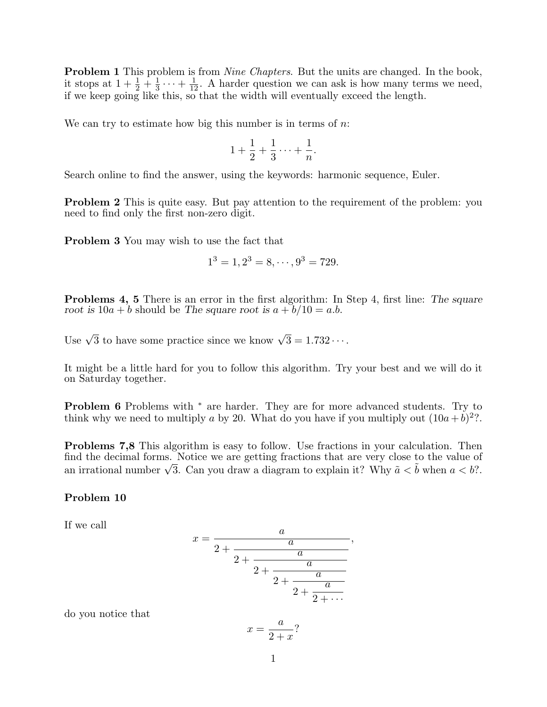**Problem 1** This problem is from *Nine Chapters*. But the units are changed. In the book, it stops at  $1+\frac{1}{2}+\frac{1}{3}$  $\frac{1}{3} \cdots + \frac{1}{12}$ . A harder question we can ask is how many terms we need, if we keep going like this, so that the width will eventually exceed the length.

We can try to estimate how big this number is in terms of  $n$ .

$$
1 + \frac{1}{2} + \frac{1}{3} \cdots + \frac{1}{n}.
$$

Search online to find the answer, using the keywords: harmonic sequence, Euler.

Problem 2 This is quite easy. But pay attention to the requirement of the problem: you need to find only the first non-zero digit.

Problem 3 You may wish to use the fact that

$$
1^3 = 1, 2^3 = 8, \cdots, 9^3 = 729.
$$

Problems 4, 5 There is an error in the first algorithm: In Step 4, first line: The square root is  $10a + b$  should be The square root is  $a + b/10 = a.b$ .

Use  $\sqrt{3}$  to have some practice since we know  $\sqrt{3} = 1.732 \cdots$ .

It might be a little hard for you to follow this algorithm. Try your best and we will do it on Saturday together.

**Problem 6** Problems with <sup>\*</sup> are harder. They are for more advanced students. Try to think why we need to multiply a by 20. What do you have if you multiply out  $(10a+b)^2$ ?.

Problems 7,8 This algorithm is easy to follow. Use fractions in your calculation. Then find the decimal forms. Notice we are getting fractions that are very close to the value of nna the aecimal forms. Notice we are getting fractions that are very close to the value of<br>an irrational number  $\sqrt{3}$ . Can you draw a diagram to explain it? Why  $\tilde{a} < \tilde{b}$  when  $a < b$ ?.

## Problem 10

If we call

$$
x = \cfrac{a}{2 + \cfrac{a}{2 + \cfrac{a}{2 + \cfrac{a}{2 + \cfrac{a}{2 + \cfrac{a}{2 + \cdots}}}}}}
$$

,

do you notice that

$$
x = \frac{a}{2+x}?
$$